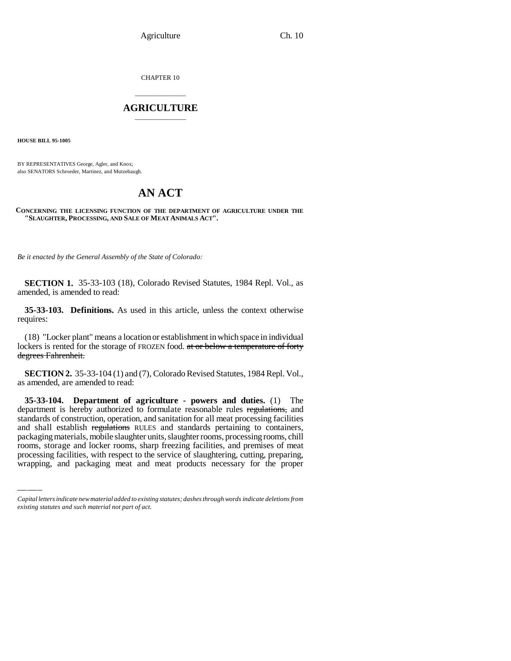Agriculture Ch. 10

CHAPTER 10

## \_\_\_\_\_\_\_\_\_\_\_\_\_\_\_ **AGRICULTURE** \_\_\_\_\_\_\_\_\_\_\_\_\_\_\_

**HOUSE BILL 95-1005**

BY REPRESENTATIVES George, Agler, and Knox; also SENATORS Schroeder, Martinez, and Mutzebaugh.

## **AN ACT**

## **CONCERNING THE LICENSING FUNCTION OF THE DEPARTMENT OF AGRICULTURE UNDER THE "SLAUGHTER, PROCESSING, AND SALE OF MEAT ANIMALS ACT".**

*Be it enacted by the General Assembly of the State of Colorado:*

**SECTION 1.** 35-33-103 (18), Colorado Revised Statutes, 1984 Repl. Vol., as amended, is amended to read:

**35-33-103. Definitions.** As used in this article, unless the context otherwise requires:

(18) "Locker plant" means a location or establishment in which space in individual lockers is rented for the storage of FROZEN food. at or below a temperature of forty degrees Fahrenheit.

**SECTION 2.** 35-33-104 (1) and (7), Colorado Revised Statutes, 1984 Repl. Vol., as amended, are amended to read:

and shall establish regulations RULES and standards pertaining to containers, **35-33-104. Department of agriculture - powers and duties.** (1) The department is hereby authorized to formulate reasonable rules regulations, and standards of construction, operation, and sanitation for all meat processing facilities packaging materials, mobile slaughter units, slaughter rooms, processing rooms, chill rooms, storage and locker rooms, sharp freezing facilities, and premises of meat processing facilities, with respect to the service of slaughtering, cutting, preparing, wrapping, and packaging meat and meat products necessary for the proper

*Capital letters indicate new material added to existing statutes; dashes through words indicate deletions from existing statutes and such material not part of act.*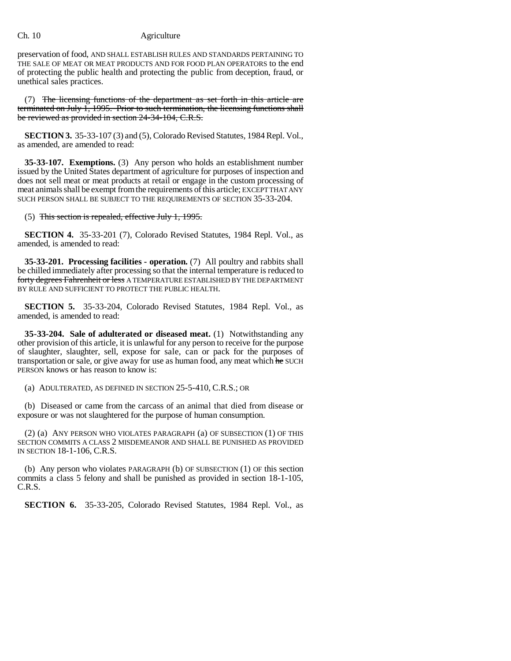## Ch. 10 Agriculture

preservation of food, AND SHALL ESTABLISH RULES AND STANDARDS PERTAINING TO THE SALE OF MEAT OR MEAT PRODUCTS AND FOR FOOD PLAN OPERATORS to the end of protecting the public health and protecting the public from deception, fraud, or unethical sales practices.

(7) The licensing functions of the department as set forth in this article are terminated on July 1, 1995. Prior to such termination, the licensing functions shall be reviewed as provided in section 24-34-104, C.R.S.

**SECTION 3.** 35-33-107 (3) and (5), Colorado Revised Statutes, 1984 Repl. Vol., as amended, are amended to read:

**35-33-107. Exemptions.** (3) Any person who holds an establishment number issued by the United States department of agriculture for purposes of inspection and does not sell meat or meat products at retail or engage in the custom processing of meat animals shall be exempt from the requirements of this article; EXCEPT THAT ANY SUCH PERSON SHALL BE SUBJECT TO THE REQUIREMENTS OF SECTION 35-33-204.

(5) This section is repealed, effective July 1, 1995.

**SECTION 4.** 35-33-201 (7), Colorado Revised Statutes, 1984 Repl. Vol., as amended, is amended to read:

**35-33-201. Processing facilities - operation.** (7) All poultry and rabbits shall be chilled immediately after processing so that the internal temperature is reduced to forty degrees Fahrenheit or less A TEMPERATURE ESTABLISHED BY THE DEPARTMENT BY RULE AND SUFFICIENT TO PROTECT THE PUBLIC HEALTH.

**SECTION 5.** 35-33-204, Colorado Revised Statutes, 1984 Repl. Vol., as amended, is amended to read:

**35-33-204. Sale of adulterated or diseased meat.** (1) Notwithstanding any other provision of this article, it is unlawful for any person to receive for the purpose of slaughter, slaughter, sell, expose for sale, can or pack for the purposes of transportation or sale, or give away for use as human food, any meat which he SUCH PERSON knows or has reason to know is:

(a) ADULTERATED, AS DEFINED IN SECTION 25-5-410, C.R.S.; OR

(b) Diseased or came from the carcass of an animal that died from disease or exposure or was not slaughtered for the purpose of human consumption.

(2) (a) ANY PERSON WHO VIOLATES PARAGRAPH (a) OF SUBSECTION (1) OF THIS SECTION COMMITS A CLASS 2 MISDEMEANOR AND SHALL BE PUNISHED AS PROVIDED IN SECTION 18-1-106, C.R.S.

(b) Any person who violates PARAGRAPH (b) OF SUBSECTION (1) OF this section commits a class 5 felony and shall be punished as provided in section 18-1-105, C.R.S.

**SECTION 6.** 35-33-205, Colorado Revised Statutes, 1984 Repl. Vol., as